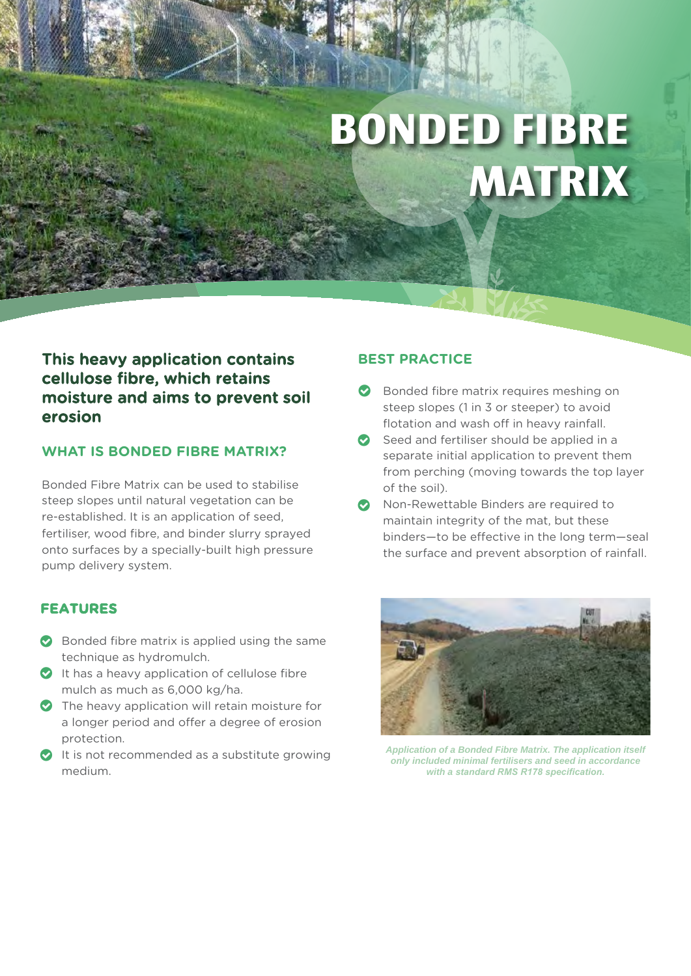# **BONDED FIBRE MATRIX**

# This heavy application contains cellulose fibre, which retains moisture and aims to prevent soil erosion

### **WHAT IS BONDED FIBRE MATRIX?**

Bonded Fibre Matrix can be used to stabilise steep slopes until natural vegetation can be re-established. It is an application of seed, fertiliser, wood fibre, and binder slurry sprayed onto surfaces by a specially-built high pressure pump delivery system.

#### **FEATURES**

- Bonded fibre matrix is applied using the same technique as hydromulch.
- It has a heavy application of cellulose fibre mulch as much as 6,000 kg/ha.
- The heavy application will retain moisture for a longer period and offer a degree of erosion protection.
- It is not recommended as a substitute growing medium.

#### **BEST PRACTICE**

- Bonded fibre matrix requires meshing on steep slopes (1 in 3 or steeper) to avoid flotation and wash off in heavy rainfall.
- Seed and fertiliser should be applied in a separate initial application to prevent them from perching (moving towards the top layer of the soil).
- **O** Non-Rewettable Binders are required to maintain integrity of the mat, but these binders—to be effective in the long term—seal the surface and prevent absorption of rainfall.



*Application of a Bonded Fibre Matrix. The application itself only included minimal fertilisers and seed in accordance with a standard RMS R178 specification.*